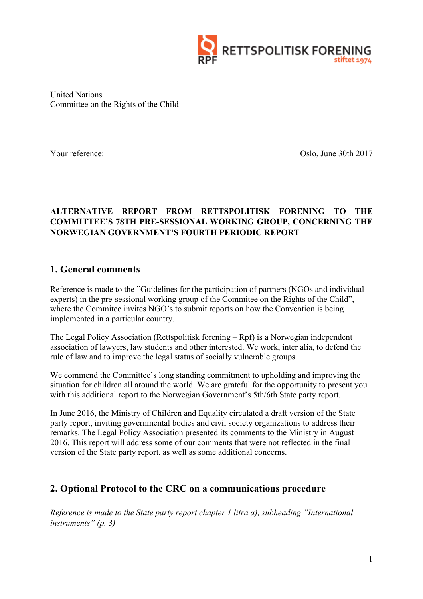

United Nations Committee on the Rights of the Child

Your reference: Oslo, June 30th 2017

### **ALTERNATIVE REPORT FROM RETTSPOLITISK FORENING TO THE COMMITTEE'S 78TH PRE-SESSIONAL WORKING GROUP, CONCERNING THE NORWEGIAN GOVERNMENT'S FOURTH PERIODIC REPORT**

### **1. General comments**

Reference is made to the "Guidelines for the participation of partners (NGOs and individual experts) in the pre-sessional working group of the Commitee on the Rights of the Child", where the Commitee invites NGO's to submit reports on how the Convention is being implemented in a particular country.

The Legal Policy Association (Rettspolitisk forening – Rpf) is a Norwegian independent association of lawyers, law students and other interested. We work, inter alia, to defend the rule of law and to improve the legal status of socially vulnerable groups.

We commend the Committee's long standing commitment to upholding and improving the situation for children all around the world. We are grateful for the opportunity to present you with this additional report to the Norwegian Government's 5th/6th State party report.

In June 2016, the Ministry of Children and Equality circulated a draft version of the State party report, inviting governmental bodies and civil society organizations to address their remarks. The Legal Policy Association presented its comments to the Ministry in August 2016. This report will address some of our comments that were not reflected in the final version of the State party report, as well as some additional concerns.

## **2. Optional Protocol to the CRC on a communications procedure**

*Reference is made to the State party report chapter 1 litra a), subheading "International instruments" (p. 3)*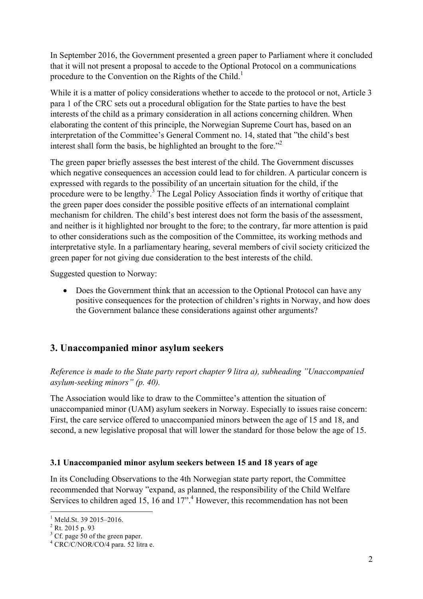In September 2016, the Government presented a green paper to Parliament where it concluded that it will not present a proposal to accede to the Optional Protocol on a communications procedure to the Convention on the Rights of the Child.<sup>1</sup>

While it is a matter of policy considerations whether to accede to the protocol or not, Article 3 para 1 of the CRC sets out a procedural obligation for the State parties to have the best interests of the child as a primary consideration in all actions concerning children. When elaborating the content of this principle, the Norwegian Supreme Court has, based on an interpretation of the Committee's General Comment no. 14, stated that "the child's best interest shall form the basis, be highlighted an brought to the fore."<sup>2</sup>

The green paper briefly assesses the best interest of the child. The Government discusses which negative consequences an accession could lead to for children. A particular concern is expressed with regards to the possibility of an uncertain situation for the child, if the procedure were to be lengthy.<sup>3</sup> The Legal Policy Association finds it worthy of critique that the green paper does consider the possible positive effects of an international complaint mechanism for children. The child's best interest does not form the basis of the assessment, and neither is it highlighted nor brought to the fore; to the contrary, far more attention is paid to other considerations such as the composition of the Committee, its working methods and interpretative style. In a parliamentary hearing, several members of civil society criticized the green paper for not giving due consideration to the best interests of the child.

Suggested question to Norway:

• Does the Government think that an accession to the Optional Protocol can have any positive consequences for the protection of children's rights in Norway, and how does the Government balance these considerations against other arguments?

## **3. Unaccompanied minor asylum seekers**

### *Reference is made to the State party report chapter 9 litra a), subheading "Unaccompanied asylum-seeking minors" (p. 40).*

The Association would like to draw to the Committee's attention the situation of unaccompanied minor (UAM) asylum seekers in Norway. Especially to issues raise concern: First, the care service offered to unaccompanied minors between the age of 15 and 18, and second, a new legislative proposal that will lower the standard for those below the age of 15.

#### **3.1 Unaccompanied minor asylum seekers between 15 and 18 years of age**

In its Concluding Observations to the 4th Norwegian state party report, the Committee recommended that Norway "expand, as planned, the responsibility of the Child Welfare Services to children aged 15, 16 and  $17<sup>4</sup>$ . However, this recommendation has not been

 $\frac{1}{2}$  Meld.St. 39 2015–2016.<br> $\frac{2}{2}$  Rt. 2015 p. 93

 $3^3$  Cf. page 50 of the green paper.

 $4$  CRC/C/NOR/CO/4 para. 52 litra e.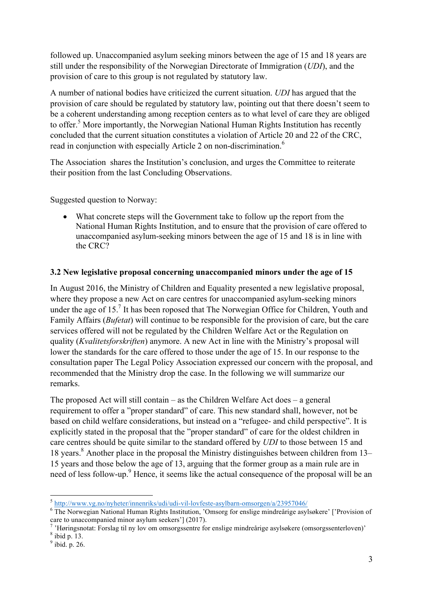followed up. Unaccompanied asylum seeking minors between the age of 15 and 18 years are still under the responsibility of the Norwegian Directorate of Immigration (*UDI*), and the provision of care to this group is not regulated by statutory law.

A number of national bodies have criticized the current situation. *UDI* has argued that the provision of care should be regulated by statutory law, pointing out that there doesn't seem to be a coherent understanding among reception centers as to what level of care they are obliged to offer.<sup>5</sup> More importantly, the Norwegian National Human Rights Institution has recently concluded that the current situation constitutes a violation of Article 20 and 22 of the CRC, read in conjunction with especially Article 2 on non-discrimination.<sup>6</sup>

The Association shares the Institution's conclusion, and urges the Committee to reiterate their position from the last Concluding Observations.

Suggested question to Norway:

• What concrete steps will the Government take to follow up the report from the National Human Rights Institution, and to ensure that the provision of care offered to unaccompanied asylum-seeking minors between the age of 15 and 18 is in line with the CRC?

#### **3.2 New legislative proposal concerning unaccompanied minors under the age of 15**

In August 2016, the Ministry of Children and Equality presented a new legislative proposal, where they propose a new Act on care centres for unaccompanied asylum-seeking minors under the age of  $15<sup>7</sup>$  It has been roposed that The Norwegian Office for Children, Youth and Family Affairs (*Bufetat*) will continue to be responsible for the provision of care, but the care services offered will not be regulated by the Children Welfare Act or the Regulation on quality (*Kvalitetsforskriften*) anymore. A new Act in line with the Ministry's proposal will lower the standards for the care offered to those under the age of 15. In our response to the consultation paper The Legal Policy Association expressed our concern with the proposal, and recommended that the Ministry drop the case. In the following we will summarize our remarks.

The proposed Act will still contain – as the Children Welfare Act does – a general requirement to offer a "proper standard" of care. This new standard shall, however, not be based on child welfare considerations, but instead on a "refugee- and child perspective". It is explicitly stated in the proposal that the "proper standard" of care for the oldest children in care centres should be quite similar to the standard offered by *UDI* to those between 15 and 18 years.<sup>8</sup> Another place in the proposal the Ministry distinguishes between children from  $13-$ 15 years and those below the age of 13, arguing that the former group as a main rule are in need of less follow-up.<sup>9</sup> Hence, it seems like the actual consequence of the proposal will be an

 $\frac{5 \text{ http://www.vg.no/nyheter/innenriks/udi/udi-vil-lovfeste-asylbarn-omsorgen/a/23957046/}{5 \text{ The Norwegian National Human Rights Institution}, 'Omsorg for enslige mindreårige asylsøkere' ['Provision of care to unaccompanied minor asylum seekers'] (2017).}$ 

<sup>&#</sup>x27;Høringsnotat: Forslag til ny lov om omsorgssentre for enslige mindreårige asylsøkere (omsorgssenterloven)'

<sup>8</sup> ibid p. 13.

 $<sup>9</sup>$  ibid. p. 26.</sup>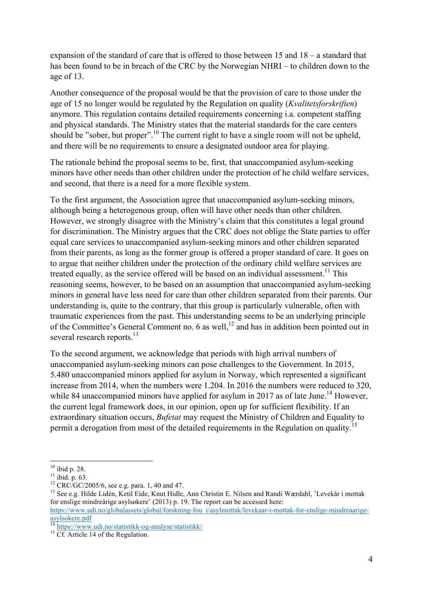expansion of the standard of care that is offered to those between 15 and 18 – a standard that has been found to be in breach of the CRC by the Norwegian NHRI – to children down to the age of 13.

Another consequence of the proposal would be that the provision of care to those under the age of 15 no longer would be regulated by the Regulation on quality (*Kvalitetsforskriften*) anymore. This regulation contains detailed requirements concerning i.a. competent staffing and physical standards. The Ministry states that the material standards for the care centers should be "sober, but proper".<sup>10</sup> The current right to have a single room will not be upheld, and there will be no requirements to ensure a designated outdoor area for playing.

The rationale behind the proposal seems to be, first, that unaccompanied asylum-seeking minors have other needs than other children under the protection of he child welfare services, and second, that there is a need for a more flexible system.

To the first argument, the Association agree that unaccompanied asylum-seeking minors, although being a heterogenous group, often will have other needs than other children. However, we strongly disagree with the Ministry's claim that this constitutes a legal ground for discrimination. The Ministry argues that the CRC does not oblige the State parties to offer equal care services to unaccompanied asylum-seeking minors and other children separated from their parents, as long as the former group is offered a proper standard of care. It goes on to argue that neither children under the protection of the ordinary child welfare services are treated equally, as the service offered will be based on an individual assessment.<sup>11</sup> This reasoning seems, however, to be based on an assumption that unaccompanied asylum-seeking minors in general have less need for care than other children separated from their parents. Our understanding is, quite to the contrary, that this group is particularly vulnerable, often with traumatic experiences from the past. This understanding seems to be an underlying principle of the Committee's General Comment no. 6 as well,  $^{12}$  and has in addition been pointed out in several research reports.<sup>13</sup>

To the second argument, we acknowledge that periods with high arrival numbers of unaccompanied asylum-seeking minors can pose challenges to the Government. In 2015, 5.480 unaccompanied minors applied for asylum in Norway, which represented a significant increase from 2014, when the numbers were 1.204. In 2016 the numbers were reduced to 320, while 84 unaccompanied minors have applied for asylum in 2017 as of late June.<sup>14</sup> However, the current legal framework does, in our opinion, open up for sufficient flexibility. If an extraordinary situation occurs, *Bufetat* may request the Ministry of Children and Equality to permit a derogation from most of the detailed requirements in the Regulation on quality.<sup>15</sup>

<sup>&</sup>lt;sup>10</sup> ibid p. 28.<br><sup>11</sup> ibid. p. 63.<br><sup>12</sup> CRC/GC/2005/6, see e.g. para. 1, 40 and 47.<br><sup>13</sup> See e.g. Hilde Lidén, Ketil Eide, Knut Hidle, Ann Christin E. Nilsen and Randi Wærdahl, 'Levekår i mottak for enslige mindreårige asylsøkere' (2013) p. 19. The report can be accessed here:

https://www.udi.no/globalassets/global/forskning-fou\_i/asylmottak/levekaar-i-mottak-for-enslige-mindreaarigeasylsokere.pdf

<sup>&</sup>lt;sup>14</sup> https://www.udi.no/statistikk-og-analyse/statistikk/<br><sup>15</sup> Cf. Article 14 of the Regulation.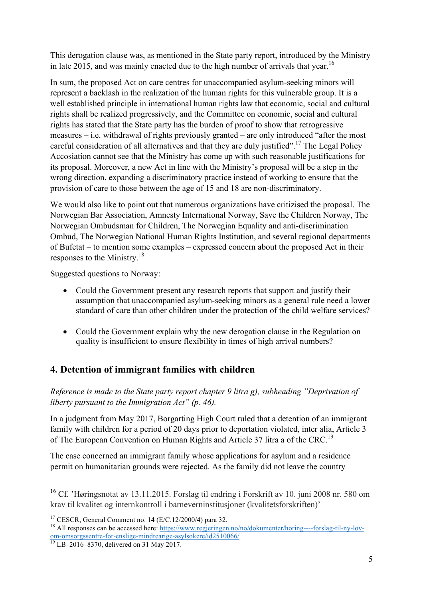This derogation clause was, as mentioned in the State party report, introduced by the Ministry in late 2015, and was mainly enacted due to the high number of arrivals that year.<sup>16</sup>

In sum, the proposed Act on care centres for unaccompanied asylum-seeking minors will represent a backlash in the realization of the human rights for this vulnerable group. It is a well established principle in international human rights law that economic, social and cultural rights shall be realized progressively, and the Committee on economic, social and cultural rights has stated that the State party has the burden of proof to show that retrogressive measures – i.e. withdrawal of rights previously granted – are only introduced "after the most careful consideration of all alternatives and that they are duly justified".<sup>17</sup> The Legal Policy Accosiation cannot see that the Ministry has come up with such reasonable justifications for its proposal. Moreover, a new Act in line with the Ministry's proposal will be a step in the wrong direction, expanding a discriminatory practice instead of working to ensure that the provision of care to those between the age of 15 and 18 are non-discriminatory.

We would also like to point out that numerous organizations have critizised the proposal. The Norwegian Bar Association, Amnesty International Norway, Save the Children Norway, The Norwegian Ombudsman for Children, The Norwegian Equality and anti-discrimination Ombud, The Norwegian National Human Rights Institution, and several regional departments of Bufetat – to mention some examples – expressed concern about the proposed Act in their responses to the Ministry.<sup>18</sup>

Suggested questions to Norway:

- Could the Government present any research reports that support and justify their assumption that unaccompanied asylum-seeking minors as a general rule need a lower standard of care than other children under the protection of the child welfare services?
- Could the Government explain why the new derogation clause in the Regulation on quality is insufficient to ensure flexibility in times of high arrival numbers?

## **4. Detention of immigrant families with children**

*Reference is made to the State party report chapter 9 litra g), subheading "Deprivation of liberty pursuant to the Immigration Act" (p. 46).*

In a judgment from May 2017, Borgarting High Court ruled that a detention of an immigrant family with children for a period of 20 days prior to deportation violated, inter alia, Article 3 of The European Convention on Human Rights and Article 37 litra a of the CRC.<sup>19</sup>

The case concerned an immigrant family whose applications for asylum and a residence permit on humanitarian grounds were rejected. As the family did not leave the country

<sup>&</sup>lt;sup>16</sup> Cf. 'Høringsnotat av 13.11.2015. Forslag til endring i Forskrift av 10. juni 2008 nr. 580 om krav til kvalitet og internkontroll i barneverninstitusjoner (kvalitetsforskriften)'

<sup>&</sup>lt;sup>17</sup> CESCR, General Comment no. 14 (E/C.12/2000/4) para 32.<br><sup>18</sup> All responses can be accessed here: https://www.regjeringen.no/no/dokumenter/horing----forslag-til-ny-lovom-omsorgssentre-for-enslige-mindrearige-asylsokere/id2510066/<br><sup>19</sup> LB–2016–8370, delivered on 31 May 2017.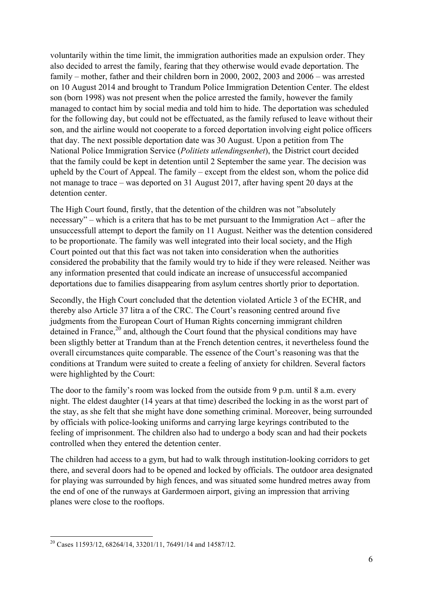voluntarily within the time limit, the immigration authorities made an expulsion order. They also decided to arrest the family, fearing that they otherwise would evade deportation. The family – mother, father and their children born in 2000, 2002, 2003 and 2006 – was arrested on 10 August 2014 and brought to Trandum Police Immigration Detention Center. The eldest son (born 1998) was not present when the police arrested the family, however the family managed to contact him by social media and told him to hide. The deportation was scheduled for the following day, but could not be effectuated, as the family refused to leave without their son, and the airline would not cooperate to a forced deportation involving eight police officers that day. The next possible deportation date was 30 August. Upon a petition from The National Police Immigration Service (*Politiets utlendingsenhet*), the District court decided that the family could be kept in detention until 2 September the same year. The decision was upheld by the Court of Appeal. The family – except from the eldest son, whom the police did not manage to trace – was deported on 31 August 2017, after having spent 20 days at the detention center.

The High Court found, firstly, that the detention of the children was not "absolutely necessary" – which is a critera that has to be met pursuant to the Immigration Act – after the unsuccessfull attempt to deport the family on 11 August. Neither was the detention considered to be proportionate. The family was well integrated into their local society, and the High Court pointed out that this fact was not taken into consideration when the authorities considered the probability that the family would try to hide if they were released. Neither was any information presented that could indicate an increase of unsuccessful accompanied deportations due to families disappearing from asylum centres shortly prior to deportation.

Secondly, the High Court concluded that the detention violated Article 3 of the ECHR, and thereby also Article 37 litra a of the CRC. The Court's reasoning centred around five judgments from the European Court of Human Rights concerning immigrant children detained in France, $2<sup>0</sup>$  and, although the Court found that the physical conditions may have been sligthly better at Trandum than at the French detention centres, it nevertheless found the overall circumstances quite comparable. The essence of the Court's reasoning was that the conditions at Trandum were suited to create a feeling of anxiety for children. Several factors were highlighted by the Court:

The door to the family's room was locked from the outside from 9 p.m. until 8 a.m. every night. The eldest daughter (14 years at that time) described the locking in as the worst part of the stay, as she felt that she might have done something criminal. Moreover, being surrounded by officials with police-looking uniforms and carrying large keyrings contributed to the feeling of imprisonment. The children also had to undergo a body scan and had their pockets controlled when they entered the detention center.

The children had access to a gym, but had to walk through institution-looking corridors to get there, and several doors had to be opened and locked by officials. The outdoor area designated for playing was surrounded by high fences, and was situated some hundred metres away from the end of one of the runways at Gardermoen airport, giving an impression that arriving planes were close to the rooftops.

<sup>&</sup>lt;sup>20</sup> Cases 11593/12, 68264/14, 33201/11, 76491/14 and 14587/12.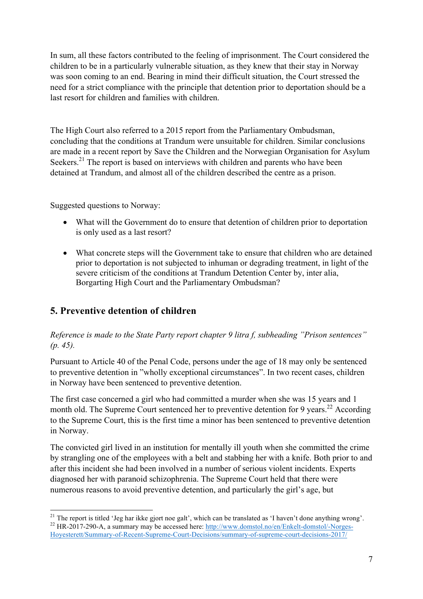In sum, all these factors contributed to the feeling of imprisonment. The Court considered the children to be in a particularly vulnerable situation, as they knew that their stay in Norway was soon coming to an end. Bearing in mind their difficult situation, the Court stressed the need for a strict compliance with the principle that detention prior to deportation should be a last resort for children and families with children.

The High Court also referred to a 2015 report from the Parliamentary Ombudsman, concluding that the conditions at Trandum were unsuitable for children. Similar conclusions are made in a recent report by Save the Children and the Norwegian Organisation for Asylum Seekers.<sup>21</sup> The report is based on interviews with children and parents who have been detained at Trandum, and almost all of the children described the centre as a prison.

Suggested questions to Norway:

- What will the Government do to ensure that detention of children prior to deportation is only used as a last resort?
- What concrete steps will the Government take to ensure that children who are detained prior to deportation is not subjected to inhuman or degrading treatment, in light of the severe criticism of the conditions at Trandum Detention Center by, inter alia, Borgarting High Court and the Parliamentary Ombudsman?

# **5. Preventive detention of children**

### *Reference is made to the State Party report chapter 9 litra f, subheading "Prison sentences" (p. 45).*

Pursuant to Article 40 of the Penal Code, persons under the age of 18 may only be sentenced to preventive detention in "wholly exceptional circumstances". In two recent cases, children in Norway have been sentenced to preventive detention.

The first case concerned a girl who had committed a murder when she was 15 years and 1 month old. The Supreme Court sentenced her to preventive detention for 9 years.<sup>22</sup> According to the Supreme Court, this is the first time a minor has been sentenced to preventive detention in Norway.

The convicted girl lived in an institution for mentally ill youth when she committed the crime by strangling one of the employees with a belt and stabbing her with a knife. Both prior to and after this incident she had been involved in a number of serious violent incidents. Experts diagnosed her with paranoid schizophrenia. The Supreme Court held that there were numerous reasons to avoid preventive detention, and particularly the girl's age, but

<sup>&</sup>lt;sup>21</sup> The report is titled 'Jeg har ikke gjort noe galt', which can be translated as 'I haven't done anything wrong'.<br><sup>22</sup> HR-2017-290-A, a summary may be accessed here: http://www.domstol.no/en/Enkelt-domstol/-Norges-Hoyesterett/Summary-of-Recent-Supreme-Court-Decisions/summary-of-supreme-court-decisions-2017/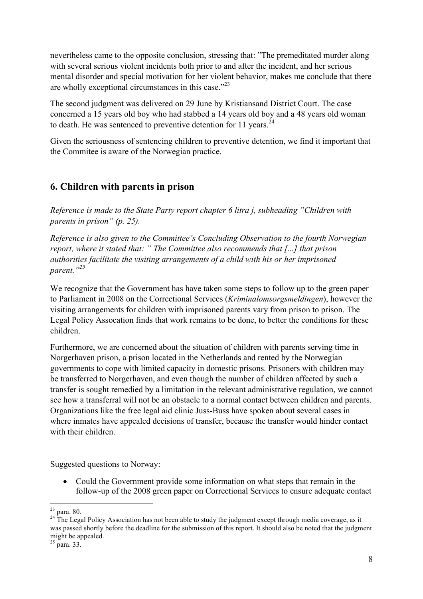nevertheless came to the opposite conclusion, stressing that: "The premeditated murder along with several serious violent incidents both prior to and after the incident, and her serious mental disorder and special motivation for her violent behavior, makes me conclude that there are wholly exceptional circumstances in this case."23

The second judgment was delivered on 29 June by Kristiansand District Court. The case concerned a 15 years old boy who had stabbed a 14 years old boy and a 48 years old woman to death. He was sentenced to preventive detention for 11 years.<sup>24</sup>

Given the seriousness of sentencing children to preventive detention, we find it important that the Commitee is aware of the Norwegian practice.

## **6. Children with parents in prison**

*Reference is made to the State Party report chapter 6 litra j, subheading "Children with parents in prison" (p. 25).*

*Reference is also given to the Committee's Concluding Observation to the fourth Norwegian report, where it stated that: " The Committee also recommends that [...] that prison authorities facilitate the visiting arrangements of a child with his or her imprisoned parent."<sup>25</sup>*

We recognize that the Government has have taken some steps to follow up to the green paper to Parliament in 2008 on the Correctional Services (*Kriminalomsorgsmeldingen*), however the visiting arrangements for children with imprisoned parents vary from prison to prison. The Legal Policy Assocation finds that work remains to be done, to better the conditions for these children.

Furthermore, we are concerned about the situation of children with parents serving time in Norgerhaven prison, a prison located in the Netherlands and rented by the Norwegian governments to cope with limited capacity in domestic prisons. Prisoners with children may be transferred to Norgerhaven, and even though the number of children affected by such a transfer is sought remedied by a limitation in the relevant administrative regulation, we cannot see how a transferral will not be an obstacle to a normal contact between children and parents. Organizations like the free legal aid clinic Juss-Buss have spoken about several cases in where inmates have appealed decisions of transfer, because the transfer would hinder contact with their children.

Suggested questions to Norway:

• Could the Government provide some information on what steps that remain in the follow-up of the 2008 green paper on Correctional Services to ensure adequate contact

<sup>&</sup>lt;sup>23</sup> para. 80.<br><sup>24</sup> The Legal Policy Association has not been able to study the judgment except through media coverage, as it was passed shortly before the deadline for the submission of this report. It should also be noted that the judgment might be appealed.<br> $25$  para. 33.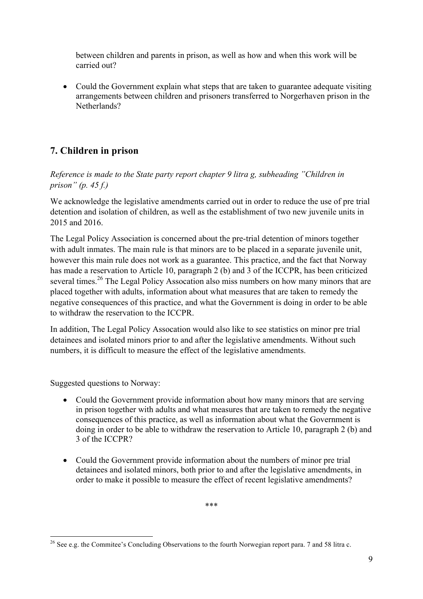between children and parents in prison, as well as how and when this work will be carried out?

• Could the Government explain what steps that are taken to guarantee adequate visiting arrangements between children and prisoners transferred to Norgerhaven prison in the Netherlands?

# **7. Children in prison**

*Reference is made to the State party report chapter 9 litra g, subheading "Children in prison" (p. 45 f.)*

We acknowledge the legislative amendments carried out in order to reduce the use of pre trial detention and isolation of children, as well as the establishment of two new juvenile units in 2015 and 2016.

The Legal Policy Association is concerned about the pre-trial detention of minors together with adult inmates. The main rule is that minors are to be placed in a separate juvenile unit, however this main rule does not work as a guarantee. This practice, and the fact that Norway has made a reservation to Article 10, paragraph 2 (b) and 3 of the ICCPR, has been criticized several times.<sup>26</sup> The Legal Policy Assocation also miss numbers on how many minors that are placed together with adults, information about what measures that are taken to remedy the negative consequences of this practice, and what the Government is doing in order to be able to withdraw the reservation to the ICCPR.

In addition, The Legal Policy Assocation would also like to see statistics on minor pre trial detainees and isolated minors prior to and after the legislative amendments. Without such numbers, it is difficult to measure the effect of the legislative amendments.

Suggested questions to Norway:

- Could the Government provide information about how many minors that are serving in prison together with adults and what measures that are taken to remedy the negative consequences of this practice, as well as information about what the Government is doing in order to be able to withdraw the reservation to Article 10, paragraph 2 (b) and 3 of the ICCPR?
- Could the Government provide information about the numbers of minor pre trial detainees and isolated minors, both prior to and after the legislative amendments, in order to make it possible to measure the effect of recent legislative amendments?

\*\*\*

<sup>&</sup>lt;sup>26</sup> See e.g. the Commitee's Concluding Observations to the fourth Norwegian report para. 7 and 58 litra c.